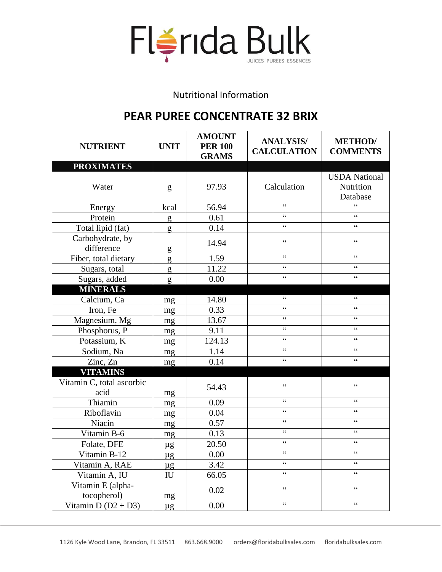

Nutritional Information

## **PEAR PUREE CONCENTRATE 32 BRIX**

| <b>NUTRIENT</b>                   | <b>UNIT</b>                | <b>AMOUNT</b><br><b>PER 100</b><br><b>GRAMS</b> | <b>ANALYSIS/</b><br><b>CALCULATION</b>            | <b>METHOD</b> /<br><b>COMMENTS</b>            |
|-----------------------------------|----------------------------|-------------------------------------------------|---------------------------------------------------|-----------------------------------------------|
| <b>PROXIMATES</b>                 |                            |                                                 |                                                   |                                               |
| Water                             | g                          | 97.93                                           | Calculation                                       | <b>USDA</b> National<br>Nutrition<br>Database |
| Energy                            | kcal                       | 56.94                                           | $\zeta$ $\zeta$                                   | $\epsilon$                                    |
| Protein                           | g                          | 0.61                                            | $\epsilon$                                        | $\epsilon$                                    |
| Total lipid (fat)                 | g                          | 0.14                                            | $\zeta$ $\zeta$                                   | $\boldsymbol{\zeta} \, \boldsymbol{\zeta}$    |
| Carbohydrate, by<br>difference    | g                          | 14.94                                           | $\boldsymbol{\zeta} \, \boldsymbol{\zeta}$        | $\zeta$ $\zeta$                               |
| Fiber, total dietary              | g                          | 1.59                                            | $\zeta$ $\zeta$                                   | $\boldsymbol{\zeta} \, \boldsymbol{\zeta}$    |
| Sugars, total                     | g                          | 11.22                                           | $\zeta$ $\zeta$                                   | $\zeta\,\zeta$                                |
| Sugars, added                     | g                          | 0.00                                            | $\zeta$ $\zeta$                                   | $\boldsymbol{\zeta} \, \boldsymbol{\zeta}$    |
| <b>MINERALS</b>                   |                            |                                                 |                                                   |                                               |
| Calcium, Ca                       | mg                         | 14.80                                           | $\zeta$ $\zeta$                                   | $\zeta$ $\zeta$                               |
| Iron, Fe                          | mg                         | 0.33                                            | $\zeta$ $\zeta$                                   | $\boldsymbol{\zeta} \, \boldsymbol{\zeta}$    |
| Magnesium, Mg                     | mg                         | 13.67                                           | $\zeta$ $\zeta$                                   | $\epsilon$                                    |
| Phosphorus, P                     | mg                         | 9.11                                            | $\boldsymbol{\zeta} \, \boldsymbol{\zeta}$        | $\zeta$ $\zeta$                               |
| Potassium, K                      | mg                         | 124.13                                          | $\zeta$ $\zeta$                                   | $\boldsymbol{\zeta} \, \boldsymbol{\zeta}$    |
| Sodium, Na                        | mg                         | 1.14                                            | $\zeta$ $\zeta$                                   | $\boldsymbol{\zeta} \, \boldsymbol{\zeta}$    |
| Zinc, Zn                          | mg                         | 0.14                                            | $\boldsymbol{\zeta} \, \boldsymbol{\zeta}$        | $\boldsymbol{\zeta} \, \boldsymbol{\zeta}$    |
| <b>VITAMINS</b>                   |                            |                                                 |                                                   |                                               |
| Vitamin C, total ascorbic<br>acid | mg                         | 54.43                                           | $\zeta$ $\zeta$                                   | $\zeta$ $\zeta$                               |
| Thiamin                           | mg                         | 0.09                                            | $\zeta$ $\zeta$                                   | $\zeta$ $\zeta$                               |
| Riboflavin                        | mg                         | 0.04                                            | $\zeta$ $\zeta$                                   | $\boldsymbol{\zeta} \, \boldsymbol{\zeta}$    |
| Niacin                            | mg                         | 0.57                                            | $\boldsymbol{\zeta} \, \boldsymbol{\zeta}$        | $\boldsymbol{\zeta} \, \boldsymbol{\zeta}$    |
| Vitamin B-6                       | mg                         | 0.13                                            | $\zeta$ $\zeta$                                   | $\zeta\,\zeta$                                |
| Folate, DFE                       | $\mu$ g                    | 20.50                                           | $\zeta$ $\zeta$                                   | $\zeta$ $\zeta$                               |
| Vitamin B-12                      | $\mu$ g                    | 0.00                                            | $\zeta$ $\zeta$                                   | $\zeta$ $\zeta$                               |
| Vitamin A, RAE                    | $\mu$ g                    | 3.42                                            | $\zeta$ $\zeta$                                   | $\zeta$ $\zeta$                               |
| Vitamin A, IU                     | $\mathop{\rm IU}\nolimits$ | 66.05                                           | $\boldsymbol{\zeta} \, \boldsymbol{\zeta}$        | $\zeta$ $\zeta$                               |
| Vitamin E (alpha-<br>tocopherol)  | mg                         | 0.02                                            | $\boldsymbol{\varsigma}$ $\boldsymbol{\varsigma}$ | $\zeta$ $\zeta$                               |
| Vitamin D $(D2 + D3)$             | $\mu$ g                    | 0.00                                            | $\boldsymbol{\varsigma}$ $\boldsymbol{\varsigma}$ | $\zeta\,\zeta$                                |